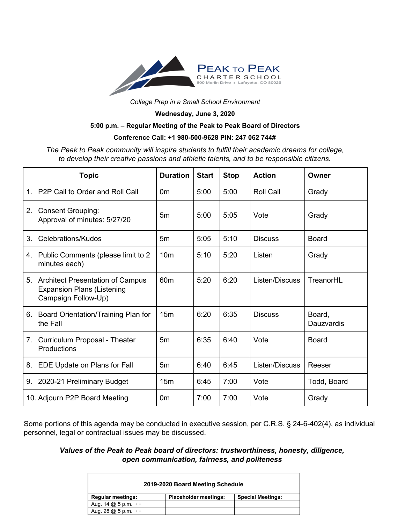

*College Prep in a Small School Environment*

**Wednesday, June 3, 2020**

## **5:00 p.m. – Regular Meeting of the Peak to Peak Board of Directors**

## **Conference Call: +1 980-500-9628 PIN: 247 062 744#**

*The Peak to Peak community will inspire students to fulfill their academic dreams for college, to develop their creative passions and athletic talents, and to be responsible citizens.*

|                | <b>Topic</b>                                                                                    | <b>Duration</b> | <b>Start</b> | <b>Stop</b> | <b>Action</b>    | Owner                |
|----------------|-------------------------------------------------------------------------------------------------|-----------------|--------------|-------------|------------------|----------------------|
| $\mathbf{1}$ . | P <sub>2</sub> P Call to Order and Roll Call                                                    | 0 <sub>m</sub>  | 5:00         | 5:00        | <b>Roll Call</b> | Grady                |
| 2.             | <b>Consent Grouping:</b><br>Approval of minutes: 5/27/20                                        | 5m              | 5:00         | 5:05        | Vote             | Grady                |
| 3.             | Celebrations/Kudos                                                                              | 5 <sub>m</sub>  | 5:05         | 5:10        | <b>Discuss</b>   | <b>Board</b>         |
|                | 4. Public Comments (please limit to 2<br>minutes each)                                          | 10 <sub>m</sub> | 5:10         | 5:20        | Listen           | Grady                |
|                | 5. Architect Presentation of Campus<br><b>Expansion Plans (Listening</b><br>Campaign Follow-Up) | 60 <sub>m</sub> | 5:20         | 6:20        | Listen/Discuss   | TreanorHL            |
| 6.             | Board Orientation/Training Plan for<br>the Fall                                                 | 15 <sub>m</sub> | 6:20         | 6:35        | <b>Discuss</b>   | Board,<br>Dauzvardis |
| 7.             | Curriculum Proposal - Theater<br>Productions                                                    | 5m              | 6:35         | 6:40        | Vote             | <b>Board</b>         |
| 8.             | EDE Update on Plans for Fall                                                                    | 5m              | 6:40         | 6:45        | Listen/Discuss   | Reeser               |
| 9.             | 2020-21 Preliminary Budget                                                                      | 15 <sub>m</sub> | 6:45         | 7:00        | Vote             | Todd, Board          |
|                | 10. Adjourn P2P Board Meeting                                                                   | 0 <sub>m</sub>  | 7:00         | 7:00        | Vote             | Grady                |

Some portions of this agenda may be conducted in executive session, per C.R.S. § 24-6-402(4), as individual personnel, legal or contractual issues may be discussed.

*Values of the Peak to Peak board of directors: trustworthiness, honesty, diligence, open communication, fairness, and politeness*

| 2019-2020 Board Meeting Schedule                                                   |                              |                          |  |  |  |
|------------------------------------------------------------------------------------|------------------------------|--------------------------|--|--|--|
| <b>Regular meetings:</b>                                                           | <b>Placeholder meetings:</b> | <b>Special Meetings:</b> |  |  |  |
| Aug. $14 \text{ } \text{ } \text{ } 25 \text{ } \text{p} \text{.} \text{m}$ . $++$ |                              |                          |  |  |  |
| Aug. $28$ @ 5 p.m. $++$                                                            |                              |                          |  |  |  |